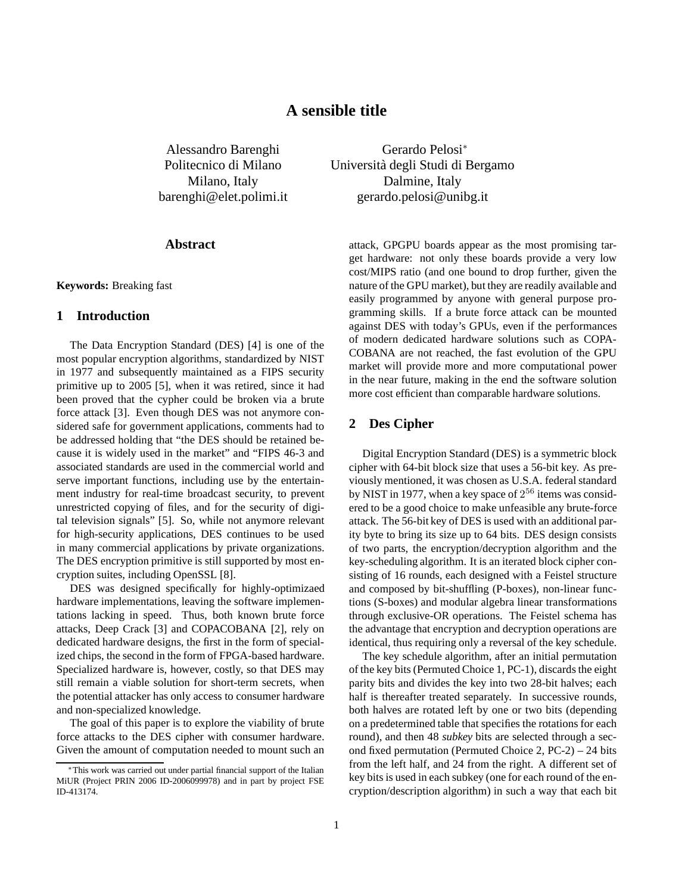# **A sensible title**

Alessandro Barenghi Politecnico di Milano Milano, Italy barenghi@elet.polimi.it

# **Abstract**

**Keywords:** Breaking fast

### **1 Introduction**

The Data Encryption Standard (DES) [4] is one of the most popular encryption algorithms, standardized by NIST in 1977 and subsequently maintained as a FIPS security primitive up to 2005 [5], when it was retired, since it had been proved that the cypher could be broken via a brute force attack [3]. Even though DES was not anymore considered safe for government applications, comments had to be addressed holding that "the DES should be retained because it is widely used in the market" and "FIPS 46-3 and associated standards are used in the commercial world and serve important functions, including use by the entertainment industry for real-time broadcast security, to prevent unrestricted copying of files, and for the security of digital television signals" [5]. So, while not anymore relevant for high-security applications, DES continues to be used in many commercial applications by private organizations. The DES encryption primitive is still supported by most encryption suites, including OpenSSL [8].

DES was designed specifically for highly-optimizaed hardware implementations, leaving the software implementations lacking in speed. Thus, both known brute force attacks, Deep Crack [3] and COPACOBANA [2], rely on dedicated hardware designs, the first in the form of specialized chips, the second in the form of FPGA-based hardware. Specialized hardware is, however, costly, so that DES may still remain a viable solution for short-term secrets, when the potential attacker has only access to consumer hardware and non-specialized knowledge.

The goal of this paper is to explore the viability of brute force attacks to the DES cipher with consumer hardware. Given the amount of computation needed to mount such an

Gerardo Pelosi<sup>∗</sup> Universit`a degli Studi di Bergamo Dalmine, Italy gerardo.pelosi@unibg.it

> attack, GPGPU boards appear as the most promising target hardware: not only these boards provide a very low cost/MIPS ratio (and one bound to drop further, given the nature of the GPU market), but they are readily available and easily programmed by anyone with general purpose programming skills. If a brute force attack can be mounted against DES with today's GPUs, even if the performances of modern dedicated hardware solutions such as COPA-COBANA are not reached, the fast evolution of the GPU market will provide more and more computational power in the near future, making in the end the software solution more cost efficient than comparable hardware solutions.

## **2 Des Cipher**

Digital Encryption Standard (DES) is a symmetric block cipher with 64-bit block size that uses a 56-bit key. As previously mentioned, it was chosen as U.S.A. federal standard by NIST in 1977, when a key space of  $2^{56}$  items was considered to be a good choice to make unfeasible any brute-force attack. The 56-bit key of DES is used with an additional parity byte to bring its size up to 64 bits. DES design consists of two parts, the encryption/decryption algorithm and the key-scheduling algorithm. It is an iterated block cipher consisting of 16 rounds, each designed with a Feistel structure and composed by bit-shuffling (P-boxes), non-linear functions (S-boxes) and modular algebra linear transformations through exclusive-OR operations. The Feistel schema has the advantage that encryption and decryption operations are identical, thus requiring only a reversal of the key schedule.

The key schedule algorithm, after an initial permutation of the key bits (Permuted Choice 1, PC-1), discards the eight parity bits and divides the key into two 28-bit halves; each half is thereafter treated separately. In successive rounds, both halves are rotated left by one or two bits (depending on a predetermined table that specifies the rotations for each round), and then 48 *subkey* bits are selected through a second fixed permutation (Permuted Choice 2, PC-2) – 24 bits from the left half, and 24 from the right. A different set of key bits is used in each subkey (one for each round of the encryption/description algorithm) in such a way that each bit

<sup>∗</sup>This work was carried out under partial financial support of the Italian MiUR (Project PRIN 2006 ID-2006099978) and in part by project FSE ID-413174.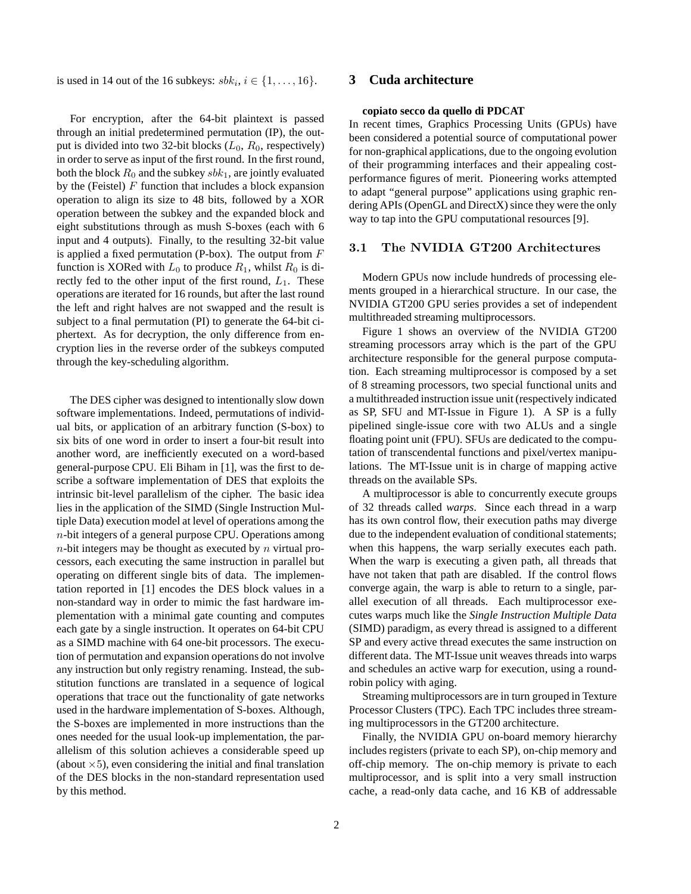is used in 14 out of the 16 subkeys:  $sbk_i$ ,  $i \in \{1, \ldots, 16\}$ .

For encryption, after the 64-bit plaintext is passed through an initial predetermined permutation (IP), the output is divided into two 32-bit blocks  $(L_0, R_0)$ , respectively) in order to serve as input of the first round. In the first round, both the block  $R_0$  and the subkey  $sbk_1$ , are jointly evaluated by the (Feistel)  $F$  function that includes a block expansion operation to align its size to 48 bits, followed by a XOR operation between the subkey and the expanded block and eight substitutions through as mush S-boxes (each with 6 input and 4 outputs). Finally, to the resulting 32-bit value is applied a fixed permutation (P-box). The output from  $F$ function is XORed with  $L_0$  to produce  $R_1$ , whilst  $R_0$  is directly fed to the other input of the first round,  $L_1$ . These operations are iterated for 16 rounds, but after the last round the left and right halves are not swapped and the result is subject to a final permutation (PI) to generate the 64-bit ciphertext. As for decryption, the only difference from encryption lies in the reverse order of the subkeys computed through the key-scheduling algorithm.

The DES cipher was designed to intentionally slow down software implementations. Indeed, permutations of individual bits, or application of an arbitrary function (S-box) to six bits of one word in order to insert a four-bit result into another word, are inefficiently executed on a word-based general-purpose CPU. Eli Biham in [1], was the first to describe a software implementation of DES that exploits the intrinsic bit-level parallelism of the cipher. The basic idea lies in the application of the SIMD (Single Instruction Multiple Data) execution model at level of operations among the n-bit integers of a general purpose CPU. Operations among  $n$ -bit integers may be thought as executed by n virtual processors, each executing the same instruction in parallel but operating on different single bits of data. The implementation reported in [1] encodes the DES block values in a non-standard way in order to mimic the fast hardware implementation with a minimal gate counting and computes each gate by a single instruction. It operates on 64-bit CPU as a SIMD machine with 64 one-bit processors. The execution of permutation and expansion operations do not involve any instruction but only registry renaming. Instead, the substitution functions are translated in a sequence of logical operations that trace out the functionality of gate networks used in the hardware implementation of S-boxes. Although, the S-boxes are implemented in more instructions than the ones needed for the usual look-up implementation, the parallelism of this solution achieves a considerable speed up (about  $\times$ 5), even considering the initial and final translation of the DES blocks in the non-standard representation used by this method.

# **3 Cuda architecture**

#### **copiato secco da quello di PDCAT**

In recent times, Graphics Processing Units (GPUs) have been considered a potential source of computational power for non-graphical applications, due to the ongoing evolution of their programming interfaces and their appealing costperformance figures of merit. Pioneering works attempted to adapt "general purpose" applications using graphic rendering APIs (OpenGL and DirectX) since they were the only way to tap into the GPU computational resources [9].

# 3.1 The NVIDIA GT200 Architectures

Modern GPUs now include hundreds of processing elements grouped in a hierarchical structure. In our case, the NVIDIA GT200 GPU series provides a set of independent multithreaded streaming multiprocessors.

Figure 1 shows an overview of the NVIDIA GT200 streaming processors array which is the part of the GPU architecture responsible for the general purpose computation. Each streaming multiprocessor is composed by a set of 8 streaming processors, two special functional units and a multithreaded instruction issue unit (respectively indicated as SP, SFU and MT-Issue in Figure 1). A SP is a fully pipelined single-issue core with two ALUs and a single floating point unit (FPU). SFUs are dedicated to the computation of transcendental functions and pixel/vertex manipulations. The MT-Issue unit is in charge of mapping active threads on the available SPs.

A multiprocessor is able to concurrently execute groups of 32 threads called *warps*. Since each thread in a warp has its own control flow, their execution paths may diverge due to the independent evaluation of conditional statements; when this happens, the warp serially executes each path. When the warp is executing a given path, all threads that have not taken that path are disabled. If the control flows converge again, the warp is able to return to a single, parallel execution of all threads. Each multiprocessor executes warps much like the *Single Instruction Multiple Data* (SIMD) paradigm, as every thread is assigned to a different SP and every active thread executes the same instruction on different data. The MT-Issue unit weaves threads into warps and schedules an active warp for execution, using a roundrobin policy with aging.

Streaming multiprocessors are in turn grouped in Texture Processor Clusters (TPC). Each TPC includes three streaming multiprocessors in the GT200 architecture.

Finally, the NVIDIA GPU on-board memory hierarchy includes registers (private to each SP), on-chip memory and off-chip memory. The on-chip memory is private to each multiprocessor, and is split into a very small instruction cache, a read-only data cache, and 16 KB of addressable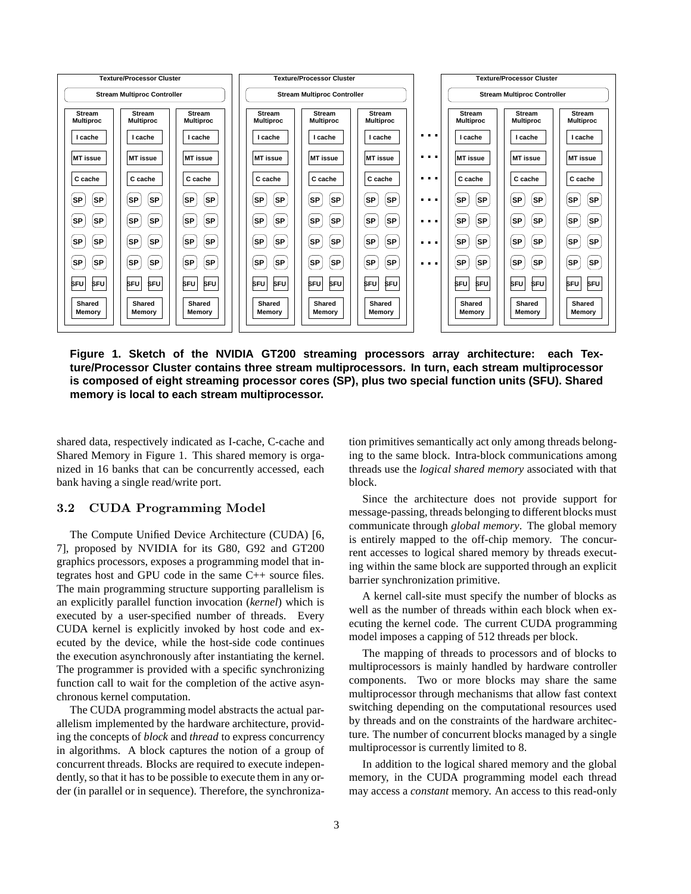

**Figure 1. Sketch of the NVIDIA GT200 streaming processors array architecture: each Texture/Processor Cluster contains three stream multiprocessors. In turn, each stream multiprocessor is composed of eight streaming processor cores (SP), plus two special function units (SFU). Shared memory is local to each stream multiprocessor.**

shared data, respectively indicated as I-cache, C-cache and Shared Memory in Figure 1. This shared memory is organized in 16 banks that can be concurrently accessed, each bank having a single read/write port.

# 3.2 CUDA Programming Model

The Compute Unified Device Architecture (CUDA) [6, 7], proposed by NVIDIA for its G80, G92 and GT200 graphics processors, exposes a programming model that integrates host and GPU code in the same C++ source files. The main programming structure supporting parallelism is an explicitly parallel function invocation (*kernel*) which is executed by a user-specified number of threads. Every CUDA kernel is explicitly invoked by host code and executed by the device, while the host-side code continues the execution asynchronously after instantiating the kernel. The programmer is provided with a specific synchronizing function call to wait for the completion of the active asynchronous kernel computation.

The CUDA programming model abstracts the actual parallelism implemented by the hardware architecture, providing the concepts of *block* and *thread* to express concurrency in algorithms. A block captures the notion of a group of concurrent threads. Blocks are required to execute independently, so that it has to be possible to execute them in any order (in parallel or in sequence). Therefore, the synchroniza-

tion primitives semantically act only among threads belonging to the same block. Intra-block communications among threads use the *logical shared memory* associated with that block.

Since the architecture does not provide support for message-passing, threads belonging to different blocks must communicate through *global memory*. The global memory is entirely mapped to the off-chip memory. The concurrent accesses to logical shared memory by threads executing within the same block are supported through an explicit barrier synchronization primitive.

A kernel call-site must specify the number of blocks as well as the number of threads within each block when executing the kernel code. The current CUDA programming model imposes a capping of 512 threads per block.

The mapping of threads to processors and of blocks to multiprocessors is mainly handled by hardware controller components. Two or more blocks may share the same multiprocessor through mechanisms that allow fast context switching depending on the computational resources used by threads and on the constraints of the hardware architecture. The number of concurrent blocks managed by a single multiprocessor is currently limited to 8.

In addition to the logical shared memory and the global memory, in the CUDA programming model each thread may access a *constant* memory. An access to this read-only